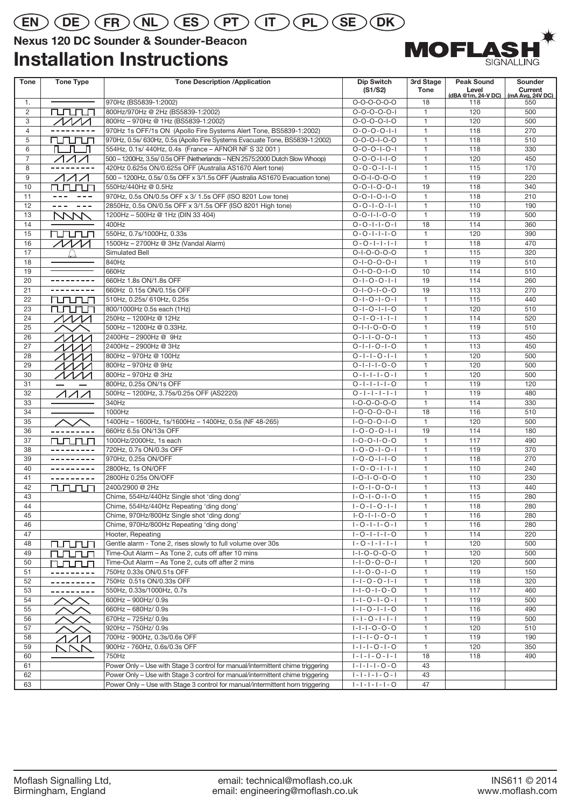## **EN DE FR NL ES PT IT PL SE DK**

### **Nexus 120 DC Sounder & Sounder-Beacon**

### **Installation Instructions**



| <b>Tone</b>          | <b>Tone Type</b>                    | <b>Tone Description /Application</b>                                           | Dip Switch<br>(S1/S2)   | 3rd Stage<br><b>Tone</b> | <b>Peak Sound</b><br>Level | Sounder<br>Current |
|----------------------|-------------------------------------|--------------------------------------------------------------------------------|-------------------------|--------------------------|----------------------------|--------------------|
|                      |                                     |                                                                                | $0 - 0 - 0 - 0 - 0$     | 18                       | (dBA @1m, 24-V DC)         | (mA Avg, 24V DC)   |
| 1.<br>$\overline{2}$ | rurum                               | 970Hz (BS5839-1:2002)<br>800Hz/970Hz @ 2Hz (BS5839-1:2002)                     | $0 - 0 - 0 - 0 - 1$     | $\mathbf{1}$             | 118<br>120                 | 550<br>500         |
| 3                    | $\sqrt{M}$                          | 800Hz-970Hz @ 1Hz (BS5839-1:2002)                                              | $0 - 0 - 0 - 0 - 1 - 0$ | $\mathbf{1}$             | 120                        | 500                |
| $\overline{4}$       |                                     | 970Hz 1s OFF/1s ON (Apollo Fire Systems Alert Tone, BS5839-1:2002)             | $0 - 0 - 0 - 0 - 1 - 1$ | $\mathbf{1}$             | 118                        | 270                |
| 5                    | rurun                               | 970Hz, 0.5s/ 630Hz, 0.5s (Apollo Fire Systems Evacuate Tone, BS5839-1:2002)    | $0 - 0 - 0 - 1 - 0 - 0$ | $\mathbf{1}$             | 118                        | 510                |
| 6                    | п п                                 | 554Hz, 0.1s/ 440Hz, 0.4s (France - AFNOR NF S 32 001)                          | $0 - 0 - 0 - 1 - 0 - 1$ | $\mathbf{1}$             | 118                        | 330                |
| $\overline{7}$       | $\triangle$ $\triangle$ $\triangle$ | 500 - 1200Hz, 3.5s/ 0.5s OFF (Netherlands - NEN 2575:2000 Dutch Slow Whoop)    | $0 - 0 - 0 - 1 - 1 - 0$ | $\mathbf{1}$             | 120                        | 450                |
| 8                    |                                     | 420Hz 0.625s ON/0.625s OFF (Australia AS1670 Alert tone)                       | $0 - 0 - 0 - 1 - 1 - 1$ | $\mathbf{1}$             | 115                        | 170                |
| 9                    | ノイイ                                 | 500 - 1200Hz, 0.5s/ 0.5s OFF x 3/1.5s OFF (Australia AS1670 Evacuation tone)   | $0 - 0 - 1 - 0 - 0 - 0$ | $\mathbf{1}$             | 119                        | 220                |
| 10                   | rurun                               | 550Hz/440Hz @ 0.5Hz                                                            | $0 - 0 - 1 - 0 - 0 - 1$ | 19                       | 118                        | 340                |
| 11                   |                                     | 970Hz, 0.5s ON/0.5s OFF x 3/ 1.5s OFF (ISO 8201 Low tone)                      | $0 - 0 - 1 - 0 - 1 - 0$ | $\mathbf{1}$             | 118                        | 210                |
| 12                   | $- - -$<br>$\sim$ $\sim$ $\sim$     | 2850Hz, 0.5s ON/0.5s OFF x 3/1.5s OFF (ISO 8201 High tone)                     | $0 - 0 - 1 - 0 - 1 - 1$ | $\mathbf{1}$             | 110                        | 190                |
| 13                   | MW                                  | 1200Hz - 500Hz @ 1Hz (DIN 33 404)                                              | $0 - 0 - 1 - 1 - 0 - 0$ | $\mathbf{1}$             | 119                        | 500                |
| 14                   |                                     | 400Hz                                                                          | $0 - 0 - 1 - 1 - 0 - 1$ | 18                       | 114                        | 360                |
| 15                   | rurun                               | 550Hz, 0.7s/1000Hz, 0.33s                                                      | $0 - 0 - 1 - 1 - 1 - 0$ | $\mathbf{1}$             | 120                        | 390                |
| 16                   | $\cal M \cal M$                     | 1500Hz - 2700Hz @ 3Hz (Vandal Alarm)                                           | $0 - 0 - 1 - 1 - 1 - 1$ | $\mathbf{1}$             | 118                        | 470                |
| 17                   |                                     | Simulated Bell                                                                 | $0 - 1 - 0 - 0 - 0 - 0$ | $\mathbf{1}$             | 115                        | 320                |
| 18                   |                                     | 840Hz                                                                          | $0 - 1 - 0 - 0 - 0 - 1$ | $\mathbf{1}$             | 119                        | 510                |
| 19                   |                                     | 660Hz                                                                          | $0 - 1 - 0 - 0 - 1 - 0$ | 10                       | 114                        | 510                |
| 20                   | ---------                           | 660Hz 1.8s ON/1.8s OFF                                                         | $0 - 1 - 0 - 0 - 1 - 1$ | 19                       | 114                        | 260                |
| 21                   | ------                              | 660Hz 0.15s ON/0.15s OFF                                                       | $0 - 1 - 0 - 1 - 0 - 0$ | 19                       | 113                        | 270                |
| 22                   | rurun                               | 510Hz, 0.25s/ 610Hz, 0.25s                                                     | $0 - 1 - 0 - 1 - 0 - 1$ | $\mathbf{1}$             | 115                        | 440                |
| 23                   | mmm                                 | 800/1000Hz 0.5s each (1Hz)                                                     | $0 - 1 - 0 - 1 - 1 - 0$ | $\mathbf{1}$             | 120                        | 510                |
| 24                   | $\cal{M}$                           | 250Hz - 1200Hz @ 12Hz                                                          | $0 - 1 - 0 - 1 - 1 - 1$ | $\mathbf{1}$             | 114                        | 520                |
| 25                   |                                     | 500Hz - 1200Hz @ 0.33Hz.                                                       | $0 - 1 - 1 - 0 - 0 - 0$ | $\mathbf{1}$             | 119                        | 510                |
| 26                   | ヘハノノ                                | 2400Hz - 2900Hz @ 9Hz                                                          | $0 - 1 - 1 - 0 - 0 - 1$ | $\mathbf{1}$             | 113                        | 450                |
| 27                   | ヘヘヘノ                                | 2400Hz - 2900Hz @ 3Hz                                                          | $0 - 1 - 1 - 0 - 1 - 0$ | $\mathbf{1}$             | 113                        | 450                |
| 28                   | $\sqrt{M}$                          | 800Hz - 970Hz @ 100Hz                                                          | $0 - 1 - 1 - 0 - 1 - 1$ | $\mathbf{1}$             | 120                        | 500                |
| 29                   | ヘノノノ                                | 800Hz - 970Hz @ 9Hz                                                            | $0 - 1 - 1 - 1 - 0 - 0$ | $\mathbf{1}$             | 120                        | 500                |
| 30                   | $\sim$                              | 800Hz - 970Hz @ 3Hz                                                            | $0 - 1 - 1 - 1 - 0 - 1$ | $\mathbf{1}$             | 120                        | 500                |
| 31                   |                                     | 800Hz, 0.25s ON/1s OFF                                                         | $0 - 1 - 1 - 1 - 0$     | $\mathbf{1}$             | 119                        | 120                |
| 32                   | $\Lambda$                           | 500Hz - 1200Hz, 3.75s/0.25s OFF (AS2220)                                       | $0 - 1 - 1 - 1 - 1 - 1$ | $\mathbf{1}$             | 119                        | 480                |
| 33                   |                                     | 340Hz                                                                          | $I-O-O-O-O-O$           | $\mathbf{1}$             | 114                        | 330                |
| 34                   |                                     | 1000Hz                                                                         | $1 - 0 - 0 - 0 - 0 - 1$ | 18                       | 116                        | 510                |
| 35                   |                                     | 1400Hz - 1600Hz, 1s/1600Hz - 1400Hz, 0.5s (NF 48-265)                          | $I - O - O - O - I - O$ | $\mathbf{1}$             | 120                        | 500                |
| 36                   | ---------                           | 660Hz 6.5s ON/13s OFF                                                          | $1 - 0 - 0 - 0 - 1 - 1$ | 19                       | 114                        | 180                |
| 37                   | rurun                               | 1000Hz/2000Hz, 1s each                                                         | $1 - 0 - 0 - 1 - 0 - 0$ | $\mathbf{1}$             | 117                        | 490                |
| 38                   |                                     | 720Hz, 0.7s ON/0.3s OFF                                                        | $1 - 0 - 0 - 1 - 0 - 1$ | $\mathbf{1}$             | 119                        | 370                |
| 39                   | ---------                           | 970Hz, 0.25s ON/OFF                                                            | $1 - 0 - 0 - 1 - 1 - 0$ | $\mathbf{1}$             | 118                        | 270                |
| 40                   | ---------                           | 2800Hz, 1s ON/OFF                                                              | $1 - 0 - 0 - 1 - 1 - 1$ | $\mathbf{1}$             | 110                        | 240                |
| 41                   | ---------                           | 2800Hz 0.25s ON/OFF                                                            | $I - O - I - O - O - O$ | $\mathbf{1}$             | 110                        | 230                |
| 42                   | <b>NUMBER</b>                       | 2400/2900 @ 2Hz                                                                | $1 - 0 - 1 - 0 - 0 - 1$ | $\mathbf{1}$             | 113                        | 440                |
| 43                   |                                     | Chime, 554Hz/440Hz Single shot 'ding dong'                                     | $1 - 0 - 1 - 0 - 1 - 0$ | $\mathbf{1}$             | 115                        | 280                |
| 44                   |                                     | Chime, 554Hz/440Hz Repeating 'ding dong'                                       | $1 - 0 - 1 - 0 - 1 - 1$ | $\mathbf{1}$             | 118                        | 280                |
| 45                   |                                     | Chime, 970Hz/800Hz Single shot 'ding dong'                                     | $I - O - I - I - O - O$ | $\mathbf{1}$             | 116                        | 280                |
| 46                   |                                     | Chime, 970Hz/800Hz Repeating 'ding dong'                                       | $1 - 0 - 1 - 1 - 0 - 1$ | $\mathbf{1}$             | 116                        | 280                |
| 47                   |                                     | Hooter, Repeating                                                              | $1 - 0 - 1 - 1 - 1 - 0$ | 1                        | 114                        | 220                |
| 48                   | rurun                               | Gentle alarm - Tone 2, rises slowly to full volume over 30s                    | $1 - 0 - 1 - 1 - 1 - 1$ | $\mathbf{1}$             | 120                        | 500                |
| 49                   | rurun                               | Time-Out Alarm - As Tone 2, cuts off after 10 mins                             | $1 - 1 - 0 - 0 - 0 - 0$ | $\mathbf{1}$             | 120                        | 500                |
| 50                   | rurunun                             | Time-Out Alarm - As Tone 2, cuts off after 2 mins                              | $1 - 1 - 0 - 0 - 0 - 1$ | 1                        | 120                        | 500                |
| 51                   |                                     | 750Hz 0.33s ON/0.51s OFF                                                       | $1 - 1 - 0 - 0 - 1 - 0$ | $\mathbf{1}$             | 119                        | 150                |
| 52                   |                                     | 750Hz 0.51s ON/0.33s OFF                                                       | $ - -0-0- - $           | $\mathbf{1}$             | 118                        | 320                |
| 53                   | ---------                           | 550Hz, 0.33s/1000Hz, 0.7s                                                      | $1 - 1 - 0 - 1 - 0 - 0$ | 1                        | 117                        | 460                |
| 54                   |                                     | 600Hz - 900Hz/ 0.9s                                                            | $ - -0- -0- $           | $\mathbf{1}$             | 119                        | 500                |
| 55                   |                                     | 660Hz - 680Hz/ 0.9s                                                            | $1 - 1 - 0 - 1 - 1 - 0$ | 1                        | 116                        | 490                |
| 56                   |                                     | 670Hz - 725Hz/ 0.9s                                                            | $1 - 1 - 0 - 1 - 1 - 1$ | 1                        | 119                        | 500                |
| 57                   |                                     | 920Hz - 750Hz/ 0.9s                                                            | $1 - 1 - 1 - 0 - 0 - 0$ | $\mathbf{1}$             | 120                        | 510                |
| 58                   | $\diagup$                           | 700Hz - 900Hz, 0.3s/0.6s OFF                                                   | $ - - -0-0- $           | 1                        | 119                        | 190                |
| 59                   | NNN                                 | 900Hz - 760Hz, 0.6s/0.3s OFF                                                   | $1 - 1 - 1 - 0 - 1 - 0$ | $\mathbf{1}$             | 120                        | 350                |
| 60                   |                                     | 750Hz                                                                          | $ - - -0- - $           | 18                       | 118                        | 490                |
| 61                   |                                     | Power Only - Use with Stage 3 control for manual/intermittent chime triggering | $1 - 1 - 1 - 1 - 0 - 0$ | 43                       |                            |                    |
| 62                   |                                     | Power Only - Use with Stage 3 control for manual/intermittent chime triggering | $1 - 1 - 1 - 1 - 0 - 1$ | 43                       |                            |                    |
| 63                   |                                     | Power Only - Use with Stage 3 control for manual/intermittent horn triggering  | $1 - 1 - 1 - 1 - 1 - 0$ | 47                       |                            |                    |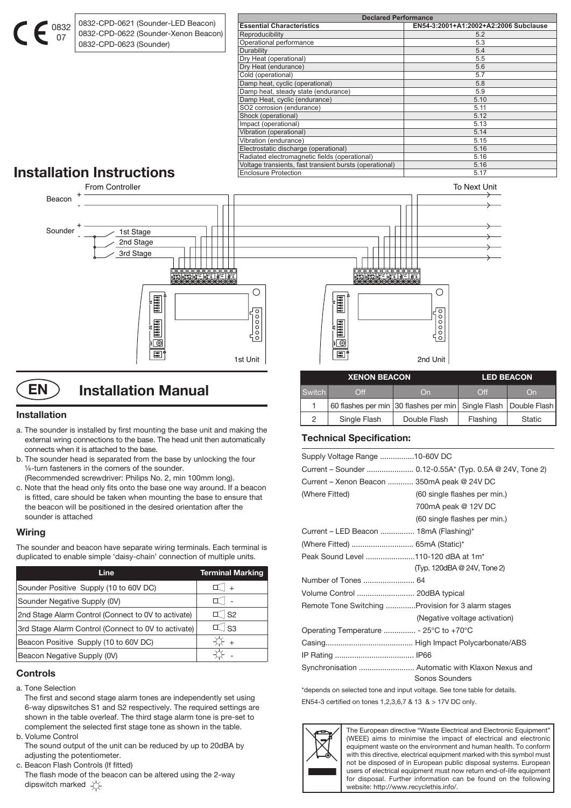0832 0832-CPD-0621 (Sounder-LED Beacon) 0832-CPD-0622 (Sounder-Xenon Beacon) 0832-CPD-0623 (Sounder)

| <b>Declared Performance</b>                             |                                       |  |  |  |
|---------------------------------------------------------|---------------------------------------|--|--|--|
| <b>Essential Characteristics</b>                        | EN54-3:2001+A1:2002+A2:2006 Subclause |  |  |  |
| Reproducibility                                         | 5.2                                   |  |  |  |
| Operational performance                                 | 5.3                                   |  |  |  |
| Durability                                              | 5.4                                   |  |  |  |
| Dry Heat (operational)                                  | 5.5                                   |  |  |  |
| Dry Heat (endurance)                                    | 5.6                                   |  |  |  |
| Cold (operational)                                      | 5.7                                   |  |  |  |
| Damp heat, cyclic (operational)                         | 5.8                                   |  |  |  |
| Damp heat, steady state (endurance)                     | 5.9                                   |  |  |  |
| Damp Heat, cyclic (endurance)                           | 5.10                                  |  |  |  |
| SO2 corrosion (endurance)                               | 5.11                                  |  |  |  |
| Shock (operational)                                     | 5.12                                  |  |  |  |
| Impact (operational)                                    | 5.13                                  |  |  |  |
| Vibration (operational)                                 | 5.14                                  |  |  |  |
| Vibration (endurance)                                   | 5.15                                  |  |  |  |
| Electrostatic discharge (operational)                   | 5.16                                  |  |  |  |
| Radiated electromagnetic fields (operational)           | 5.16                                  |  |  |  |
| Voltage transients, fast transient bursts (operational) | 5.16                                  |  |  |  |
| <b>Enclosure Protection</b>                             | 5.17                                  |  |  |  |

# **Installation Instructions**

07



**EN** ) Installation Manual

#### **Installation**

- a. The sounder is installed by first mounting the base unit and making the external wring connections to the base. The head unit then automatically connects when it is attached to the base.
- b. The sounder head is separated from the base by unlocking the four ¼-turn fasteners in the corners of the sounder. (Recommended screwdriver: Philips No. 2, min 100mm long).
- c. Note that the head only fits onto the base one way around. If a beacon is fitted, care should be taken when mounting the base to ensure that the beacon will be positioned in the desired orientation after the sounder is attached

#### **Wiring**

The sounder and beacon have separate wiring terminals. Each terminal is duplicated to enable simple 'daisy-chain' connection of multiple units.

| Line                                                | <b>Terminal Marking</b> |
|-----------------------------------------------------|-------------------------|
| Sounder Positive Supply (10 to 60V DC)              | I   +                   |
| Sounder Negative Supply (0V)                        |                         |
| 2nd Stage Alarm Control (Connect to 0V to activate) | $\top$ S2               |
| 3rd Stage Alarm Control (Connect to 0V to activate) | $\perp$ S3              |
| Beacon Positive Supply (10 to 60V DC)               | $+$                     |
| Beacon Negative Supply (0V)                         |                         |

#### **Controls**

- a. Tone Selection
- The first and second stage alarm tones are independently set using 6-way dipswitches S1 and S2 respectively. The required settings are shown in the table overleaf. The third stage alarm tone is pre-set to complement the selected first stage tone as shown in the table.
- b. Volume Control

 The sound output of the unit can be reduced by up to 20dBA by adjusting the potentiometer.

c. Beacon Flash Controls (If fitted)

 The flash mode of the beacon can be altered using the 2-way dipswitch marked  $\overleftrightarrow{\chi}$ 

### **Technical Specification:**

| Supply Voltage Range 10-60V DC                      |                                                                    |
|-----------------------------------------------------|--------------------------------------------------------------------|
|                                                     |                                                                    |
| Current – Xenon Beacon  350mA peak @ 24V DC         |                                                                    |
| (Where Fitted)                                      | (60 single flashes per min.)                                       |
|                                                     | 700mA peak @ 12V DC                                                |
|                                                     | (60 single flashes per min.)                                       |
| Current – LED Beacon  18mA (Flashing)*              |                                                                    |
|                                                     |                                                                    |
| Peak Sound Level 110-120 dBA at 1m <sup>*</sup>     |                                                                    |
|                                                     | (Typ. 120dBA @ 24V, Tone 2)                                        |
|                                                     |                                                                    |
| Volume Control  20dBA typical                       |                                                                    |
| Remote Tone Switching  Provision for 3 alarm stages |                                                                    |
|                                                     | (Negative voltage activation)                                      |
|                                                     |                                                                    |
|                                                     |                                                                    |
|                                                     |                                                                    |
|                                                     | Synchronisation  Automatic with Klaxon Nexus and<br>Sonos Sounders |

**XENON BEACON LED BEACON**

Switch Off | On | Off | On 1 60 flashes per min 30 flashes per min Single Flash Double Flash 2 | Single Flash | Double Flash | Flashing | Static

\*depends on selected tone and input voltage. See tone table for details. EN54-3 certified on tones 1,2,3,6,7 & 13 & > 17V DC only.



The European directive "Waste Electrical and Electronic Equipment" (WEEE) aims to minimise the impact of electrical and electronic equipment waste on the environment and human health. To conform with this directive, electrical equipment marked with this symbol must not be disposed of in European public disposal systems. European users of electrical equipment must now return end-of-life equipment for disposal. Further information can be found on the following website: http://www.recyclethis.info/.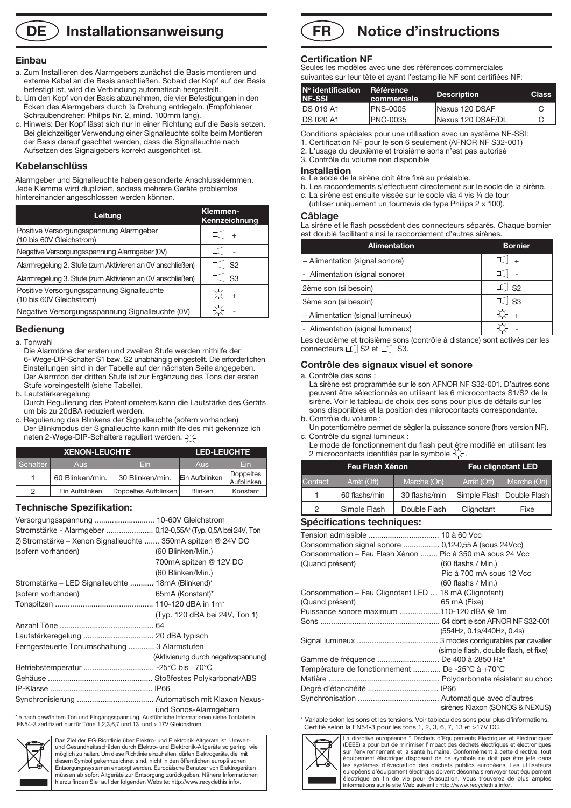### **DE** ) Installationsanweisung

#### **Einbau**

- a. Zum Installieren des Alarmgebers zunächst die Basis montieren und externe Kabel an die Basis anschließen. Sobald der Kopf auf der Basis befestigt ist, wird die Verbindung automatisch hergestellt.
- b. Um den Kopf von der Basis abzunehmen, die vier Befestigungen in den Ecken des Alarmgebers durch ¼ Drehung entriegeln. (Empfohlener Schraubendreher: Philips Nr. 2, mind. 100mm lang).
- c. Hinweis: Der Kopf lässt sich nur in einer Richtung auf die Basis setzen. Bei gleichzeitiger Verwendung einer Signalleuchte sollte beim Montieren der Basis darauf geachtet werden, dass die Signalleuchte nach Aufsetzen des Signalgebers korrekt ausgerichtet ist.

#### **Kabelanschlüss**

Alarmgeber und Signalleuchte haben gesonderte Anschlussklemmen. Jede Klemme wird dupliziert, sodass mehrere Geräte problemlos hintereinander angeschlossen werden können.

| Leitung                                                                | Klemmen-<br>Kennzeichnung |
|------------------------------------------------------------------------|---------------------------|
| Positive Versorgungsspannung Alarmgeber<br>(10 bis 60V Gleichstrom)    |                           |
| Negative Versorgungsspannung Alarmgeber (0V)                           |                           |
| Alarmregelung 2. Stufe (zum Aktivieren an OV anschließen)              | S <sub>2</sub>            |
| Alarmregelung 3. Stufe (zum Aktivieren an OV anschließen)              | S3                        |
| Positive Versorgungsspannung Signalleuchte<br>(10 bis 60V Gleichstrom) | $\ddot{}$                 |
| Negative Versorgungsspannung Signalleuchte (0V)                        |                           |

#### **Bedienung**

#### a. Tonwahl

 Die Alarmtöne der ersten und zweiten Stufe werden mithilfe der 6- Wege-DIP-Schalter S1 bzw. S2 unabhängig eingestellt. Die erforderlichen Einstellungen sind in der Tabelle auf der nächsten Seite angegeben. Der Alarmton der dritten Stufe ist zur Ergänzung des Tons der ersten Stufe voreingestellt (siehe Tabelle).

- b. Lautstärkeregelung
- Durch Regulierung des Potentiometers kann die Lautstärke des Geräts um bis zu 20dBA reduziert werden.
- c. Regulierung des Blinkens der Signalleuchte (sofern vorhanden) Der Blinkmodus der Signalleuchte kann mithilfe des mit gekennze ich neten 2-Wege-DIP-Schalters reguliert werden.

| <b>XENON-LEUCHTE</b> |                 |                      | <b>LED-LEUCHTE</b> |                                |  |
|----------------------|-----------------|----------------------|--------------------|--------------------------------|--|
| Schalter             | <b>Aus</b>      | Fin                  | <b>Aus</b>         | Fin                            |  |
|                      | 60 Blinken/min. | 30 Blinken/min.      | Ein Aufblinken     | <b>Doppeltes</b><br>Aufblinken |  |
| っ                    | Ein Aufblinken  | Doppeltes Aufblinken | <b>Blinken</b>     | Konstant                       |  |

#### **Technische Spezifikation:**

| Versorgungsspannung  10-60V Gleichstrom                                                   |                                     |
|-------------------------------------------------------------------------------------------|-------------------------------------|
| Stromstärke - Alarmgeber  0,12-0,55A* (Typ. 0,5A bei 24V, Ton                             |                                     |
| 2) Stromstärke – Xenon Signalleuchte  350mA spitzen @ 24V DC                              |                                     |
| (sofern vorhanden)                                                                        | (60 Blinken/Min.)                   |
|                                                                                           | 700mA spitzen @ 12V DC              |
|                                                                                           | (60 Blinken/Min.)                   |
| Stromstärke – LED Signalleuchte  18mA (Blinkend)*                                         |                                     |
| (sofern vorhanden)                                                                        | 65mA (Konstant)*                    |
|                                                                                           |                                     |
|                                                                                           | (Typ. 120 dBA bei 24V, Ton 1)       |
|                                                                                           |                                     |
|                                                                                           |                                     |
| Ferngesteuerte Tonumschaltung  3 Alarmstufen                                              |                                     |
|                                                                                           | (Aktivierung durch negativspannung) |
|                                                                                           |                                     |
|                                                                                           |                                     |
|                                                                                           |                                     |
|                                                                                           |                                     |
| *je nach gewähltem Ton und Eingangsspannung. Ausführliche Informationen siehe Tontabelle. | und Sonos-Alarmgebern               |

\*je nach gewähltem Ton und Eingangsspannung. Ausführliche Informationen siehe Tontabelle. EN54-3 zertifiziert nur für Töne 1,2,3,6,7 und 13 und > 17V Gleichstrom.



Das Ziel der EG-Richtlinie über Elektro- und Elektronik-Altgeräte ist, Umweltund Gesundheitsschäden durch Elektro- und Elektronik-Altgeräte so gering wie möglich zu halten. Um diese Richtlinie einzuhalten, dürfen Elektrogeräte, die mit diesem Symbol gekennzeichnet sind, nicht in den öffentlichen europäischen Entsorgungssystemen entsorgt werden. Europäische Benutzer von Elektrogeräten müssen ab sofort Altgeräte zur Entsorgung zurückgeben. Nähere Informationen hierzu finden Sie auf der folgenden Website: http://www.recyclethis.info/.

#### **Notice d'instructions FR**

#### **Certification NF**

Seules les modèles avec une des références commerciales suivantes sur leur tête et ayant l'estampille NF sont certifiées NF:

| $No$ identification<br><b>NF-SSI</b> | <b>Référence</b><br>commerciale | <b>Description</b> | <b>Class</b> |
|--------------------------------------|---------------------------------|--------------------|--------------|
| <b>DS 019 A1</b>                     | <b>PNS-0005</b>                 | Nexus 120 DSAF     |              |
| <b>DS 020 A1</b>                     | <b>PNC-0035</b>                 | Nexus 120 DSAF/DL  |              |
|                                      |                                 |                    |              |

Conditions spéciales pour une utilisation avec un système NF-SSI:

1. Certification NF pour le son 6 seulement (AFNOR NF S32-001)

2. L'usage du deuxième et troisième sons n'est pas autorisé

3. Contrôle du volume non disponible

**Installation** a. Le socle de la sirène doit être fixé au préalable.

- b. Les raccordements s'effectuent directement sur le socle de la sirène.
- c. La sirène est ensuite vissée sur le socle via 4 vis ¼ de tour
- (utiliser uniquement un tournevis de type Philips 2 x 100).

#### **Câblage**

La sirène et le flash possèdent des connecteurs séparés. Chaque bornier est doublé facilitant ainsi le raccordement d'autres sirènes.

| <b>Alimentation</b>                                                       | <b>Bornier</b>     |
|---------------------------------------------------------------------------|--------------------|
| + Alimentation (signal sonore)                                            | $\pm$              |
| - Alimentation (signal sonore)                                            |                    |
| 2ème son (si besoin)                                                      | $ $ S <sub>2</sub> |
| 3ème son (si besoin)                                                      | $\Box$ S3          |
| + Alimentation (signal lumineux)                                          | $+$                |
| - Alimentation (signal lumineux)                                          |                    |
| Les deuxième et troisième sons (contrôle à distance) sont activés par les |                    |

Les deuxième et troisième sons (contrôle à distance) sont activés par les connecteurs  $\Box$  S2 et  $\Box$  S3.

#### **Contrôle des signaux visuel et sonore**

a. Contrôle des sons :

 La sirène est programmée sur le son AFNOR NF S32-001. D'autres sons peuvent être sélectionnés en utilisant les 6 microcontacts S1/S2 de la sirène. Voir le tableau de choix des sons pour plus de détails sur les sons disponibles et la position des microcontacts correspondante. b. Contrôle du volume :

- Un potentiomètre permet de sègler la puissance sonore (hors version NF). c. Contrôle du signal lumineux :
- Le mode de fonctionnement du flash peut être modifié en utilisant les 2 microcontacts identifiés par le symbole  $\chi$ .

| Feu Flash Xénon |               |               | <b>Feu clignotant LED</b> |                             |  |  |
|-----------------|---------------|---------------|---------------------------|-----------------------------|--|--|
| Contact         | Arrêt (Off)   | Marche (On)   | Arrêt (Off)               | Marche (On)                 |  |  |
|                 | 60 flashs/min | 30 flashs/min |                           | Simple Flash   Double Flash |  |  |
| 2               | Simple Flash  | Double Flash  | Clignotant                | Fixe                        |  |  |
|                 |               |               |                           |                             |  |  |

#### **Spécifications techniques:**

| Consommation signal sonore  0,12-0,55 A (sous 24Vcc)     |                                       |
|----------------------------------------------------------|---------------------------------------|
| Consommation – Feu Flash Xénon  Pic à 350 mA sous 24 Vcc |                                       |
| (Quand présent)                                          | $(60$ flashs / Min.)                  |
|                                                          | Pic à 700 mA sous 12 Vcc              |
|                                                          | $(60$ flashs / Min.)                  |
| Consommation - Feu Clignotant LED  18 mA (Clignotant)    |                                       |
| (Quand présent)                                          | 65 mA (Fixe)                          |
| Puissance sonore maximum 110-120 dBA @ 1m                |                                       |
|                                                          |                                       |
|                                                          | (554Hz, 0.1s/440Hz, 0.4s)             |
|                                                          |                                       |
|                                                          | (simple flash, double flash, et fixe) |
| Gamme de fréquence  De 400 à 2850 Hz*                    |                                       |
| Température de fonctionnement  De -25°C à +70°C          |                                       |
|                                                          |                                       |
|                                                          |                                       |
|                                                          |                                       |
|                                                          | sirènes Klaxon (SONOS & NEXUS)        |

\* Variable selon les sons et les tensions. Voir tableau des sons pour plus d'informations. Certifié selon la EN54-3 pour les tons 1, 2, 3, 6, 7, 13 et >17V DC.



La directive européenne " Déchets d'Equipements Electriques et Electroniques (DEEE) a pour but de minimiser l'impact des déchets électriques et électronique sur l'environnement et la santé humaine. Conformément à cette directive, tout équipement électrique disposant de ce symbole ne doit pas être jeté dans les systèmes d'évacuation des déchets publics européens. Les utilisateurs européens d'équipement électrique doivent désormais renvoyer tout équipement électrique en fin de vie pour évacuation. Vous trouverez de plus amples informations sur le site Web suivant : http://www.recyclethis.info/.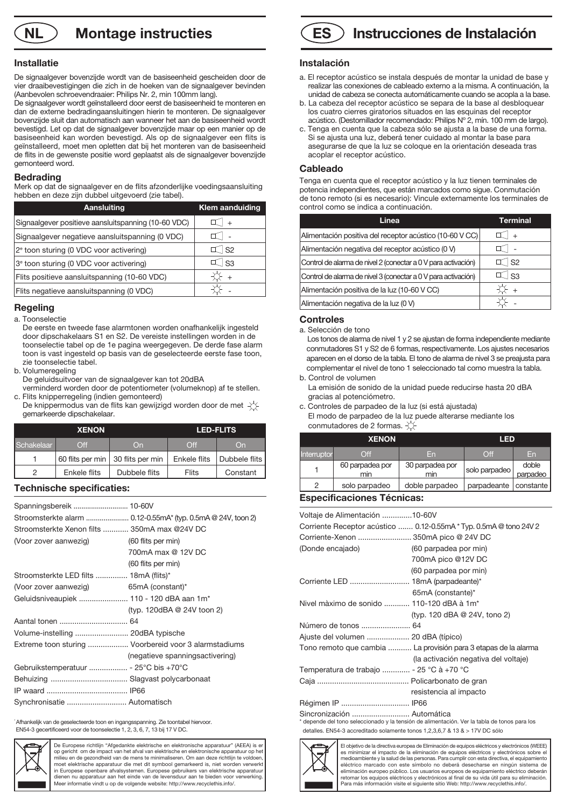**NL**  $\bigcirc$  **Montage instructies** 

#### **Installatie**

De signaalgever bovenzijde wordt van de basiseenheid gescheiden door de vier draaibevestigingen die zich in de hoeken van de signaalgever bevinden (Aanbevolen schroevendraaier: Philips Nr. 2, min 100mm lang).

De signaalgever wordt geïnstalleerd door eerst de basiseenheid te monteren en dan de externe bedradingaansluitingen hierin te monteren. De signaalgever bovenzijde sluit dan automatisch aan wanneer het aan de basiseenheid wordt bevestigd. Let op dat de signaalgever bovenzijde maar op een manier op de basiseenheid kan worden bevestigd. Als op de signaalgever een flits is geïnstalleerd, moet men opletten dat bij het monteren van de basiseenheid de flits in de gewenste positie word geplaatst als de signaalgever bovenzijde gemonteerd word.

#### **Bedrading**

Merk op dat de signaalgever en de flits afzonderlijke voedingsaansluiting hebben en deze zijn dubbel uitgevoerd (zie tabel).

| Aansluiting                                         | <b>Klem aanduiding</b> |
|-----------------------------------------------------|------------------------|
| Signaalgever positieve aansluitspanning (10-60 VDC) | $+$                    |
| Signaalgever negatieve aansluitspanning (0 VDC)     |                        |
| 2 <sup>e</sup> toon sturing (0 VDC voor activering) | $\mathbb{I}$ s2        |
| 3 <sup>e</sup> toon sturing (0 VDC voor activering) | $ $ S3                 |
| Flits positieve aansluitspanning (10-60 VDC)        | ⊱ +                    |
| Flits negatieve aansluitspanning (0 VDC)            |                        |

#### **Regeling**

a. Toonselectie

- De eerste en tweede fase alarmtonen worden onafhankelijk ingesteld door dipschakelaars S1 en S2. De vereiste instellingen worden in de toonselectie tabel op de 1e pagina weergegeven. De derde fase alarm toon is vast ingesteld op basis van de geselecteerde eerste fase toon, zie toonselectie tabel.
- b. Volumeregeling
- De geluidsuitvoer van de signaalgever kan tot 20dBA
- verminderd worden door de potentiometer (volumeknop) af te stellen. c. Flits knipperregeling (indien gemonteerd)
- De knippermodus van de flits kan gewijzigd worden door de met  $-\left(\frac{1}{2}\right)$ gemarkeerde dipschakelaar.

| <b>XENON</b> |                  | <b>LED-FLITS</b> |              |               |
|--------------|------------------|------------------|--------------|---------------|
| Schakelaar   | Off              | On               | Off          | On            |
|              | 60 flits per min | 30 flits per min | Enkele flits | Dubbele flits |
| 2            | Enkele flits     | Dubbele flits    | <b>Flits</b> | Constant      |

#### **Technische specificaties:**

| Spanningsbereik  10-60V                      |                                                       |
|----------------------------------------------|-------------------------------------------------------|
|                                              |                                                       |
| Stroomsterkte Xenon filts  350mA max @24V DC |                                                       |
| (Voor zover aanwezig)                        | (60 flits per min)                                    |
|                                              | 700mA max @ 12V DC                                    |
|                                              | (60 flits per min)                                    |
| Stroomsterkte LED filts  18mA (flits)*       |                                                       |
| (Voor zover aanwezig) $65mA$ (constant)*     |                                                       |
| Geluidsniveaupiek  110 - 120 dBA aan 1m*     |                                                       |
|                                              | (typ. 120dBA @ 24V toon 2)                            |
|                                              |                                                       |
| Volume-instelling  20dBA typische            |                                                       |
|                                              | Extreme toon sturing  Voorbereid voor 3 alarmstadiums |
|                                              | (negatieve spanningsactivering)                       |
| Gebruikstemperatuur  - 25°C bis +70°C        |                                                       |
|                                              |                                                       |
|                                              |                                                       |
| Synchronisatie  Automatisch                  |                                                       |

\* Afhankelijk van de geselecteerde toon en ingangsspanning. Zie toontabel hiervoor. EN54-3 gecertificeerd voor de toonselectie 1, 2, 3, 6, 7, 13 bij 17 V DC.



De Europese richtlijn "Afgedankte elektrische en elektronische apparatuur" (AEEA) is er op gericht om de impact van het afval van elektrische en elektronische apparatuur op het milieu en de gezondheid van de mens te minimaliseren. Om aan deze richtlijn te voldoen moet elektrische apparatuur die met dit symbool gemarkeerd is, niet worden verwerkt in Europese openbare afvalsystemen. Europese gebruikers van elektrische apparatuur dienen nu apparatuur aan het einde van de levensduur aan te bieden voor verwerking. Meer informatie vindt u op de volgende website: http://www.recyclethis.info/.



#### **Instalación**

- a. El receptor acústico se instala después de montar la unidad de base y realizar las conexiones de cableado externo a la misma. A continuación, la unidad de cabeza se conecta automáticamente cuando se acopla a la base.
- b. La cabeza del receptor acústico se separa de la base al desbloquear los cuatro cierres giratorios situados en las esquinas del receptor acústico. (Destornillador recomendado: Philips Nº 2, mín. 100 mm de largo).
- c. Tenga en cuenta que la cabeza sólo se ajusta a la base de una forma. Si se ajusta una luz, deberá tener cuidado al montar la base para asegurarse de que la luz se coloque en la orientación deseada tras acoplar el receptor acústico.

#### **Cableado**

Tenga en cuenta que el receptor acústico y la luz tienen terminales de potencia independientes, que están marcados como sigue. Conmutación de tono remoto (si es necesario): Vincule externamente los terminales de control como se indica a continuación.

| Linea                                                         | Terminal  |
|---------------------------------------------------------------|-----------|
| Alimentación positiva del receptor acústico (10-60 V CC)      | $+$       |
| Alimentación negativa del receptor acústico (0 V)             |           |
| Control de alarma de nivel 2 (conectar a 0 V para activación) | $\top$ S2 |
| Control de alarma de nivel 3 (conectar a 0 V para activación) | ်  S3     |
| Alimentación positiva de la luz (10-60 V CC)                  | $+$       |
| Alimentación negativa de la luz (0 V)                         |           |

#### **Controles**

a. Selección de tono

 Los tonos de alarma de nivel 1 y 2 se ajustan de forma independiente mediante conmutadores S1 y S2 de 6 formas, respectivamente. Los ajustes necesarios aparecen en el dorso de la tabla. El tono de alarma de nivel 3 se preajusta para complementar el nivel de tono 1 seleccionado tal como muestra la tabla. b. Control de volumen

- La emisión de sonido de la unidad puede reducirse hasta 20 dBA gracias al potenciómetro.
- c. Controles de parpadeo de la luz (si está ajustada) El modo de parpadeo de la luz puede alterarse mediante los conmutadores de 2 formas.  $\overleftrightarrow{\bigtriangleup}$

| <b>XENON</b> |                        |                        | <b>LED</b>    |                   |
|--------------|------------------------|------------------------|---------------|-------------------|
| Interruptor  | $\bigcirc$ ff          | En                     | Off           | En                |
|              | 60 parpadea por<br>min | 30 parpadea por<br>min | solo parpadeo | doble<br>parpadeo |
| っ            | solo parpadeo          | doble parpadeo         | parpadeante   | constante         |

#### **Especificaciones Técnicas:**

| Voltaje de Alimentación 10-60V                                     |                                                                                              |  |  |
|--------------------------------------------------------------------|----------------------------------------------------------------------------------------------|--|--|
| Corriente Receptor acústico  0.12-0.55mA * Typ. 0.5mA @ tono 24V 2 |                                                                                              |  |  |
| Corriente-Xenon  350mA pico @ 24V DC                               |                                                                                              |  |  |
| (Donde encajado)                                                   | (60 parpadea por min)                                                                        |  |  |
|                                                                    | 700mA pico @12V DC                                                                           |  |  |
|                                                                    | (60 parpadea por min)                                                                        |  |  |
| Corriente LED  18mA (parpadeante)*                                 |                                                                                              |  |  |
|                                                                    | 65mA (constante)*                                                                            |  |  |
| Nivel màximo de sonido  110-120 dBA à 1m*                          |                                                                                              |  |  |
|                                                                    | (typ. 120 dBA @ 24V, tono 2)                                                                 |  |  |
| Número de tonos  64                                                |                                                                                              |  |  |
| Ajuste del volumen  20 dBA (típico)                                |                                                                                              |  |  |
|                                                                    | Tono remoto que cambia  La provisión para 3 etapas de la alarma                              |  |  |
|                                                                    | (la activación negativa del voltaje)                                                         |  |  |
| Temperatura de trabajo  - 25 °C à +70 °C                           |                                                                                              |  |  |
|                                                                    |                                                                                              |  |  |
|                                                                    | resistencia al impacto                                                                       |  |  |
| Régimen IP  IP66                                                   |                                                                                              |  |  |
| Sincronización  Automática                                         | * depende del tono seleccionado y la tensión de alimentación. Ver la tabla de tonos para los |  |  |

detalles. EN54-3 accreditado solamente tonos 1,2,3,6,7 & 13 & > 17V DC sólo



El objetivo de la directiva europea de Eliminación de equipos eléctricos y electrónicos (WEEE) es minimizar el impacto de la eliminación de equipos eléctricos y electrónicos sobre el medioambiente y la salud de las personas. Para cumplir con esta directiva, el equipamiento eléctrico marcado con este símbolo no deberá desecharse en ningún sistema de eliminación europeo público. Los usuarios europeos de equipamiento eléctrico deberán retornar los equipos eléctricos y electrónicos al final de su vida útil para su eliminación. Para más información visite el siguiente sitio Web: http://www.recyclethis.info/.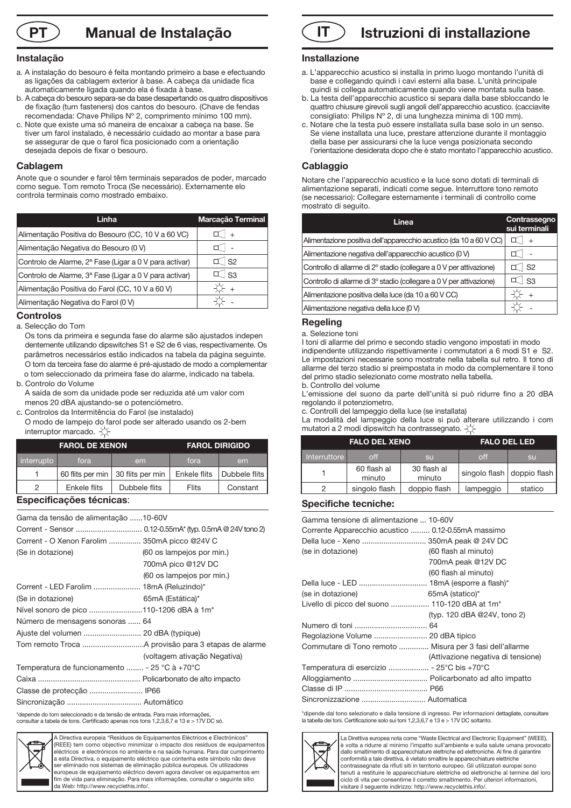**Manual de Instalação**

#### **Instalação**

- a. A instalação do besouro é feita montando primeiro a base e efectuando as ligações da cablagem exterior à base. A cabeça da unidade fica automaticamente ligada quando ela é fixada à base.
- b. A cabeça do besouro separa-se da base desapertando os quatro dispositivos de fixação (turn fasteners) dos cantos do besouro. (Chave de fendas recomendada: Chave Philips Nº 2, comprimento mínimo 100 mm).
- c. Note que existe uma só maneira de encaixar a cabeça na base. Se tiver um farol instalado, é necessário cuidado ao montar a base para se assegurar de que o farol fica posicionado com a orientação desejada depois de fixar o besouro.

#### **Cablagem**

Anote que o sounder e farol têm terminais separados de poder, marcado como segue. Tom remoto Troca (Se necessário). Externamente elo controla terminais como mostrado embaixo.

| Linha                                                              | Marcação Terminal   |
|--------------------------------------------------------------------|---------------------|
| Alimentação Positiva do Besouro (CC, 10 V a 60 VC)                 | $+$                 |
| Alimentação Negativa do Besouro (0 V)                              |                     |
| Controlo de Alarme, 2 <sup>ª</sup> Fase (Ligar a 0 V para activar) | $\mathbb{I}$ S2     |
| Controlo de Alarme, 3ª Fase (Ligar a 0 V para activar)             | $\mathbb{I}$ $ $ S3 |
| Alimentação Positiva do Farol (CC, 10 V a 60 V)                    | $+$                 |
| Alimentação Negativa do Farol (0 V)                                |                     |

#### **Controlos**

a. Selecção do Tom

 Os tons da primeira e segunda fase do alarme são ajustados indepen dentemente utilizando dipswitches S1 e S2 de 6 vias, respectivamente. Os parâmetros necessários estão indicados na tabela da página seguinte. O tom da terceira fase do alarme é pré-ajustado de modo a complementar o tom seleccionado da primeira fase do alarme, indicado na tabela.

b. Controlo do Volume

 A saída de som da unidade pode ser reduzida até um valor com menos 20 dBA ajustando-se o potenciómetro.

c. Controlos da Intermitência do Farol (se instalado)

 O modo de lampejo do farol pode ser alterado usando os 2-bem interruptor marcado.  $\chi$ 

| <b>FAROL DE XENON</b> |              | <b>FAROL DIRIGIDO</b>               |              |               |
|-----------------------|--------------|-------------------------------------|--------------|---------------|
| interrupto            | fora         | em                                  | fora         | em            |
|                       |              | 60 flits per min   30 flits per min | Enkele flits | Dubbele flits |
| 2                     | Enkele flits | Dubbele flits                       | Flits        | Constant      |

#### **Especificações técnicas**:

| Gama da tensão de alimentação 10-60V          |                              |
|-----------------------------------------------|------------------------------|
|                                               |                              |
| Corrent - O Xenon Farolim  350mA picco @24V C |                              |
| (Se in dotazione)                             | (60 os lampejos por min.)    |
|                                               | 700mA pico @12V DC           |
|                                               | (60 os lampejos por min.)    |
| Corrent - LED Farolim  18mA (Reluzindo)*      |                              |
| (Se in dotazione)                             | 65mA (Estática)*             |
| Nível sonoro de pico 110-1206 dBA à 1m*       |                              |
| Número de mensagens sonoras  64               |                              |
|                                               |                              |
|                                               |                              |
|                                               | (voltagem ativação Negativa) |
| Temperatura de funcionamento  - 25 °C à +70°C |                              |
|                                               |                              |
|                                               |                              |
|                                               |                              |

\*depende do tom seleccionado e da tensão de entrada. Para mais informações, consultar a tabela de tons. Certificado apenas nos tons 1,2,3,6,7 e 13 e > 17V DC só.



Directiva europeia "Resíduos de Equipamentos Eléctricos e Electrónicos" (REEE) tem como objectivo minimizar o impacto dos resíduos de equipamentos eléctricos e electrónicos no ambiente e na saúde humana. Para dar cumprimento a esta Directiva, o equipamento eléctrico que contenha este símbolo não deve ser eliminado nos sistemas de eliminação pública europeus. Os utilizadores europeus de equipamento eléctrico devem agora devolver os equipamentos em fim de vida para eliminação. Para mais informações, consultar o seguinte sítio da Web: http://www.recyclethis.info/.



#### **Installazione**

- a. L'apparecchio acustico si installa in primo luogo montando l'unità di base e collegando quindi i cavi esterni alla base. L'unità principale quindi si collega automaticamente quando viene montata sulla base.
- b. La testa dell'apparecchio acustico si separa dalla base sbloccando le quattro chiusure girevoli sugli angoli dell'apparecchio acustico. (cacciavite consigliato: Philips Nº 2, di una lunghezza minima di 100 mm).
- c. Notare che la testa può essere installata sulla base solo in un senso. Se viene installata una luce, prestare attenzione durante il montaggio della base per assicurarsi che la luce venga posizionata secondo l'orientazione desiderata dopo che è stato montato l'apparecchio acustico.

#### **Cablaggio**

Notare che l'apparecchio acustico e la luce sono dotati di terminali di alimentazione separati, indicati come segue. Interruttore tono remoto (se necessario): Collegare esternamente i terminali di controllo come mostrato di seguito.

| Linea                                                               | Contrassegno<br>sui terminali |
|---------------------------------------------------------------------|-------------------------------|
| Alimentazione positiva dell'apparecchio acustico (da 10 a 60 V CC)  |                               |
| Alimentazione negativa dell'apparecchio acustico (0 V)              |                               |
| Controllo di allarme di 2º stadio (collegare a 0 V per attivazione) | $\mathsf{S}2$                 |
| Controllo di allarme di 3º stadio (collegare a 0 V per attivazione) | $\vert$ S3                    |
| Alimentazione positiva della luce (da 10 a 60 V CC)                 |                               |
| Alimentazione negativa della luce (0 V)                             |                               |

#### **Regeling**

a. Selezione toni

I toni di allarme del primo e secondo stadio vengono impostati in modo indipendente utilizzando rispettivamente i commutatori a 6 modi S1 e S2. Le impostazioni necessarie sono mostrate nella tabella sul retro. Il tono di allarme del terzo stadio si preimpostata in modo da complementare il tono del primo stadio selezionato come mostrato nella tabella. b. Controllo del volume

L'emissione del suono da parte dell'unità si può ridurre fino a 20 dBA regolando il potenziometro.

c. Controlli del lampeggio della luce (se installata)

La modalità del lampeggio della luce si può alterare utilizzando i com mutatori a 2 modi dipswitch ha contrassegnato.  $\Diamond$ 

| <b>FALO DEL XENO</b> |                       |                       | <b>FALO DEL LED</b> |                            |
|----------------------|-----------------------|-----------------------|---------------------|----------------------------|
| Interruttore         | off                   | <b>SU</b>             | off                 | <b>SU</b>                  |
|                      | 60 flash al<br>minuto | 30 flash al<br>minuto |                     | singolo flash doppio flash |
| 2                    | singolo flash         | doppio flash          | lampeggio           | statico                    |

#### **Specifiche tecniche:**

| Gamma tensione di alimentazione  10-60V                    |                                    |  |  |
|------------------------------------------------------------|------------------------------------|--|--|
| Corrente Apparecchio acustico  0.12-0.55mA massimo         |                                    |  |  |
| Della luce - Xeno  350mA peak @ 24V DC                     |                                    |  |  |
| (se in dotazione)                                          | (60 flash al minuto)               |  |  |
|                                                            | 700mA peak @12V DC                 |  |  |
|                                                            | (60 flash al minuto)               |  |  |
|                                                            |                                    |  |  |
| (se in dotazione)                                          | 65mA (statico)*                    |  |  |
| Livello di picco del suono  110-120 dBA at 1m <sup>*</sup> |                                    |  |  |
|                                                            | (typ. 120 dBA @24V, tono 2)        |  |  |
|                                                            |                                    |  |  |
| Regolazione Volume  20 dBA tipico                          |                                    |  |  |
| Commutare di Tono remoto  Misura per 3 fasi dell'allarme   |                                    |  |  |
|                                                            | (Attivazione negativa di tensione) |  |  |
| Temperatura di esercizio  - 25°C bis +70°C                 |                                    |  |  |
|                                                            |                                    |  |  |
|                                                            |                                    |  |  |
| Sincronizzazione  Automatica                               |                                    |  |  |
|                                                            |                                    |  |  |

\*dipende dal tono selezionato e dalla tensione di ingresso. Per informazioni dettagliate, consultare la tabella dei toni. Certificazione solo sui toni 1,2,3,6,7 e 13 e > 17V DC soltanto.



La Direttiva europea nota come "Waste Electrical and Electronic Equipment" (WEEE), è volta a ridurre al minimo l'impatto sull'ambiente e sulla salute umana provocato dallo smaltimento di apparecchiature elettriche ed elettroniche. Al fine di garantire conformità a tale direttiva, è vietato smaltire le apparecchiature elettriche contrassegnate da rifiuti siti in territorio europeo. Gli utilizzatori europei sono tenuti a restituire le apparecchiature elettriche ed elettroniche al termine del lor ciclo di vita per consentirne il corretto smaltimento. Per ulteriori informazioni, visitare il seguente indirizzo: http://www.recyclethis.info/.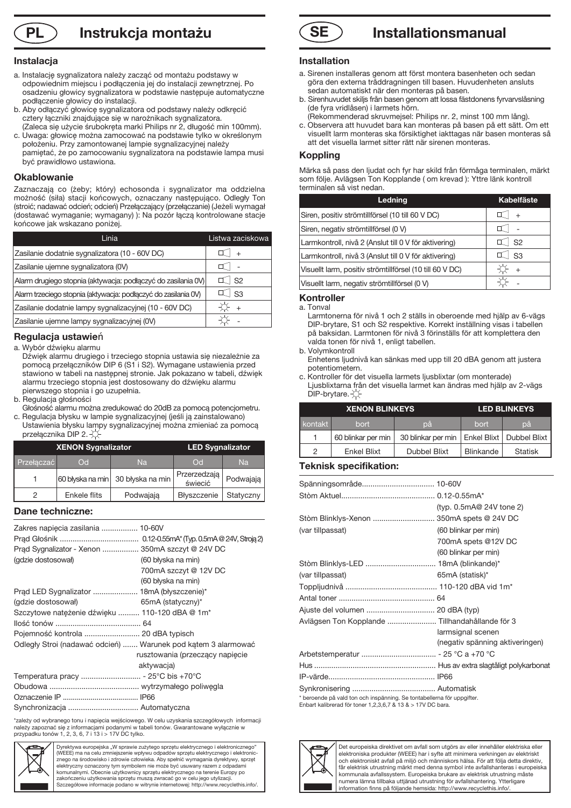### **PL Instrukcja montażu SE**

#### **Instalacja**

- a. Instalację sygnalizatora należy zacząć od montażu podstawy w odpowiednim miejscu i podłączenia jej do instalacji zewnętrznej. Po osadzeniu głowicy sygnalizatora w podstawie następuje automatyczne podłączenie głowicy do instalacji.
- b. Aby odłączyć głowicę sygnalizatora od podstawy należy odkręcić cztery łączniki znajdujące się w narożnikach sygnalizatora. (Zaleca się użycie śrubokręta marki Philips nr 2, długość min 100mm).
- c. Uwaga: głowicę można zamocować na podstawie tylko w określonym położeniu. Przy zamontowanej lampie sygnalizacyjnej należy pamiętać, że po zamocowaniu sygnalizatora na podstawie lampa musi być prawidłowo ustawiona.

#### **Okablowanie**

Zaznaczają co (żeby; który) echosonda i sygnalizator ma oddzielna możność (siła) stacji końcowych, oznaczany następująco. Odległy Ton (stroić; nadawać odcień; odcień) Przełączający (przełączanie) (Jeżeli wymagał (dostawać wymaganie; wymagany) ): Na pozór łączą kontrolowane stacje końcowe jak wskazano poniżej.

| Linia                                                          | Listwa zaciskowa |
|----------------------------------------------------------------|------------------|
| Zasilanie dodatnie sygnalizatora (10 - 60V DC)                 |                  |
| Zasilanie ujemne sygnalizatora (0V)                            |                  |
| Alarm drugiego stopnia (aktywacja: podłączyć do zasilania 0V)  | S <sub>2</sub>   |
| Alarm trzeciego stopnia (aktywacja: podłączyć do zasilania 0V) | - S <sub>3</sub> |
| Zasilanie dodatnie lampy sygnalizacyjnej (10 - 60V DC)         |                  |
| Zasilanie ujemne lampy sygnalizacyjnej (0V)                    |                  |

### **Regulacja ustawie**ń

a. Wybór dźwięku alarmu

- Dźwięk alarmu drugiego i trzeciego stopnia ustawia się niezależnie za pomocą przełączników DIP 6 (S1 i S2). Wymagane ustawienia przed stawiono w tabeli na następnej stronie. Jak pokazano w tabeli, dźwięk alarmu trzeciego stopnia jest dostosowany do dźwięku alarmu pierwszego stopnia i go uzupełnia.
- b. Regulacja głośności
- Głośność alarmu można zredukować do 20dB za pomocą potencjometru. c. Regulacja błysku w lampie sygnalizacyjnej (jeśli ją zainstalowano)
- Ustawienia błysku lampy sygnalizacyjnej można zmieniać za pomocą przełącznika DIP 2. XX

| <b>XENON Sygnalizator</b> |              |                                   | <b>LED Sygnalizator</b> |           |
|---------------------------|--------------|-----------------------------------|-------------------------|-----------|
| Przełaczać                | Od.          | <b>Na</b>                         | $\overline{C}$          | <b>Na</b> |
|                           |              | 60 błyska na min 30 błyska na min | Przerzedzają<br>świecić | Podwajają |
| っ                         | Enkele flits | Podwajają                         | Błyszczenie             | Statyczny |

#### **Dane techniczne:**

| Zakres napięcia zasilania  10-60V                             |                                 |
|---------------------------------------------------------------|---------------------------------|
|                                                               |                                 |
| Prad Sygnalizator - Xenon  350mA szczyt @ 24V DC              |                                 |
| (qdzie dostosował)                                            | (60 błyska na min)              |
|                                                               | 700mA szczyt @ 12V DC           |
|                                                               | (60 błyska na min)              |
| Prąd LED Sygnalizator  18mA (błyszczenie)*                    |                                 |
| (gdzie dostosował)                                            | $65mA$ (statyczny)*             |
| Szczytowe natężenie dźwięku  110-120 dBA @ 1m*                |                                 |
|                                                               |                                 |
| Pojemność kontrola  20 dBA typisch                            |                                 |
| Odległy Stroi (nadawać odcień)  Warunek pod kątem 3 alarmować |                                 |
|                                                               | rusztowania (przeczący napięcie |
|                                                               | aktywacja)                      |
| Temperatura pracy  - 25°C bis +70°C                           |                                 |
|                                                               |                                 |
|                                                               |                                 |
| Synchronizacja  Automatyczna                                  |                                 |

\*zależy od wybranego tonu i napięcia wejściowego. W celu uzyskania szczegółowych informacji<br>należy zapoznać się z informacjami podanymi w tabeli tonów. Gwarantowane wyłącznie w<br>przypadku tonów 1, 2, 3, 6, 7 i 13 i > 17V D



Dyrektywa europejska "W sprawie zużytego sprzętu elektrycznego i elektronicznego (WEEE) ma na celu zmniejszenie wpływu odpadów sprzętu elektrycznego i elektronic-znego na środowisko i zdrowie człowieka. Aby spełnić wymagania dyrektywy, sprzęt elektryczny oznaczony tym symbolem nie może być usuwany razem z odpad komunalnymi. Obecnie użytkownicy sprzętu elektrycznego na terenie Europy po zakończeniu użytkowania sprzętu muszą zwracać go w celu jego utylizacji. Szczegółowe informacje podano w witrynie internetowej: http://www.recyclethis.info/.



#### **Installation**

- a. Sirenen installeras genom att först montera basenheten och sedan göra den externa tråddragningen till basen. Huvudenheten ansluts sedan automatiskt när den monteras på basen.
- b. Sirenhuvudet skiljs från basen genom att lossa fästdonens fyrvarvslåsning (de fyra vridlåsen) i larmets hörn.
- (Rekommenderad skruvmejsel: Philips nr. 2, minst 100 mm lång).
- c. Observera att huvudet bara kan monteras på basen på ett sätt. Om ett visuellt larm monteras ska försiktighet iakttagas när basen monteras så att det visuella larmet sitter rätt när sirenen monteras.

#### **Koppling**

Märka så pass den ljudat och fyr har skild från förmåga terminalen, märkt som följe. Avlägsen Ton Kopplande ( om krevad ): Yttre länk kontroll terminalen så vist nedan.

| Ledning                                                  | <b>Kabelfäste</b> |
|----------------------------------------------------------|-------------------|
| Siren, positiv strömtillförsel (10 till 60 V DC)         |                   |
| Siren, negativ strömtillförsel (0 V)                     |                   |
| Larmkontroll, nivå 2 (Anslut till 0 V för aktivering)    | S <sub>2</sub>    |
| Larmkontroll, nivå 3 (Anslut till 0 V för aktivering)    | <b>S3</b>         |
| Visuellt larm, positiv strömtillförsel (10 till 60 V DC) |                   |
| Visuellt larm, negativ strömtillförsel (0 V)             |                   |

#### **Kontroller**

a. Tonval

 Larmtonerna för nivå 1 och 2 ställs in oberoende med hjälp av 6-vägs DIP-brytare, S1 och S2 respektive. Korrekt inställning visas i tabellen på baksidan. Larmtonen för nivå 3 förinställs för att komplettera den valda tonen för nivå 1, enligt tabellen.

- b. Volymkontroll Enhetens ljudnivå kan sänkas med upp till 20 dBA genom att justera potentiometern.
- c. Kontroller för det visuella larmets ljusblixtar (om monterade) Ljusblixtarna från det visuella larmet kan ändras med hjälp av 2-vägs  $DIP-$ brytare. $\chi$

| <b>XENON BLINKEYS</b> |                    |                                                 | <b>LED BLINKEYS</b> |                |
|-----------------------|--------------------|-------------------------------------------------|---------------------|----------------|
| kontakt               | bort               | рă                                              | bort                | pă             |
|                       | 60 blinkar per min | 30 blinkar per min   Enkel Blixt   Dubbel Blixt |                     |                |
| 2                     | <b>Enkel Blixt</b> | <b>Dubbel Blixt</b>                             | Blinkande           | <b>Statisk</b> |

#### **Teknisk specifikation:**

|                                                                        | (typ. $0.5$ mA@ 24V tone 2)     |
|------------------------------------------------------------------------|---------------------------------|
| Stòm Blinklys-Xenon  350mA spets @ 24V DC                              |                                 |
| (var tillpassat)                                                       | (60 blinkar per min)            |
|                                                                        | 700mA spets @12V DC             |
|                                                                        | (60 blinkar per min)            |
|                                                                        |                                 |
| (var tillpassat)                                                       | 65mA (statisk)*                 |
|                                                                        |                                 |
|                                                                        |                                 |
|                                                                        |                                 |
| Avlägsen Ton Kopplande  Tillhandahållande för 3                        |                                 |
|                                                                        | larmsignal scenen               |
|                                                                        | (negativ spänning aktiveringen) |
|                                                                        |                                 |
|                                                                        |                                 |
|                                                                        |                                 |
|                                                                        |                                 |
| * beroende på vald ton och inspänning. Se tontabellerna för uppgifter. |                                 |

\* beroende på vald ton och inspänning. Se tontabellerna för uppgifter. Enbart kalibrerad för toner 1,2,3,6,7 & 13 & > 17V DC bara.



Det europeiska direktivet om avfall som utgörs av eller innehåller elektriska eller elektroniska produkter (WEEE) har i syfte att minimera verkningen av elektriskt och elektroniskt avfall på miljö och människors hälsa. För att följa detta direktiv, får elektrisk utrustning märkt med denna symbol inte avfallshanteras i europe kommunala avfallssystem. Europeiska brukare av elektrisk utrustning måste numera lämna tillbaka uttjänad utrustning för avfallshantering. Ytterligare information finns på följande hemsida: http://www.recyclethis.info/.